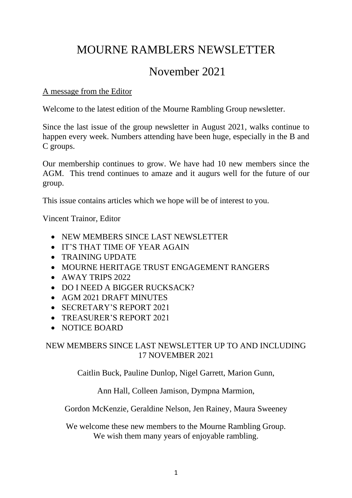# MOURNE RAMBLERS NEWSLETTER

# November 2021

### A message from the Editor

Welcome to the latest edition of the Mourne Rambling Group newsletter.

Since the last issue of the group newsletter in August 2021, walks continue to happen every week. Numbers attending have been huge, especially in the B and C groups.

Our membership continues to grow. We have had 10 new members since the AGM. This trend continues to amaze and it augurs well for the future of our group.

This issue contains articles which we hope will be of interest to you.

Vincent Trainor, Editor

- NEW MEMBERS SINCE LAST NEWSLETTER
- IT'S THAT TIME OF YEAR AGAIN
- TRAINING UPDATE
- MOURNE HERITAGE TRUST ENGAGEMENT RANGERS
- AWAY TRIPS 2022
- DO I NEED A BIGGER RUCKSACK?
- AGM 2021 DRAFT MINUTES
- SECRETARY'S REPORT 2021
- TREASURER'S REPORT 2021
- NOTICE BOARD

### NEW MEMBERS SINCE LAST NEWSLETTER UP TO AND INCLUDING 17 NOVEMBER 2021

Caitlin Buck, Pauline Dunlop, Nigel Garrett, Marion Gunn,

Ann Hall, Colleen Jamison, Dympna Marmion,

Gordon McKenzie, Geraldine Nelson, Jen Rainey, Maura Sweeney

We welcome these new members to the Mourne Rambling Group. We wish them many years of enjoyable rambling.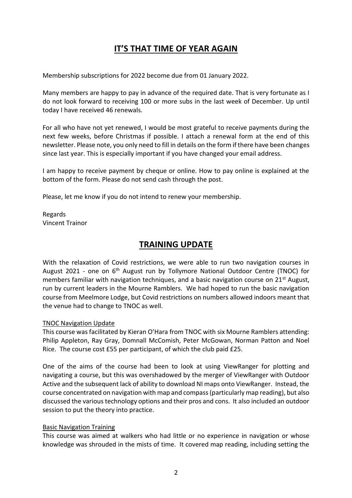## **IT'S THAT TIME OF YEAR AGAIN**

Membership subscriptions for 2022 become due from 01 January 2022.

Many members are happy to pay in advance of the required date. That is very fortunate as I do not look forward to receiving 100 or more subs in the last week of December. Up until today I have received 46 renewals.

For all who have not yet renewed, I would be most grateful to receive payments during the next few weeks, before Christmas if possible. I attach a renewal form at the end of this newsletter. Please note, you only need to fill in details on the form if there have been changes since last year. This is especially important if you have changed your email address.

I am happy to receive payment by cheque or online. How to pay online is explained at the bottom of the form. Please do not send cash through the post.

Please, let me know if you do not intend to renew your membership.

Regards Vincent Trainor

### **TRAINING UPDATE**

With the relaxation of Covid restrictions, we were able to run two navigation courses in August 2021 - one on 6<sup>th</sup> August run by Tollymore National Outdoor Centre (TNOC) for members familiar with navigation techniques, and a basic navigation course on 21<sup>st</sup> August, run by current leaders in the Mourne Ramblers. We had hoped to run the basic navigation course from Meelmore Lodge, but Covid restrictions on numbers allowed indoors meant that the venue had to change to TNOC as well.

#### TNOC Navigation Update

This course was facilitated by Kieran O'Hara from TNOC with six Mourne Ramblers attending: Philip Appleton, Ray Gray, Domnall McComish, Peter McGowan, Norman Patton and Noel Rice. The course cost £55 per participant, of which the club paid £25.

One of the aims of the course had been to look at using ViewRanger for plotting and navigating a course, but this was overshadowed by the merger of ViewRanger with Outdoor Active and the subsequent lack of ability to download NI maps onto ViewRanger. Instead, the course concentrated on navigation with map and compass (particularly map reading), but also discussed the various technology options and their pros and cons. It also included an outdoor session to put the theory into practice.

#### Basic Navigation Training

This course was aimed at walkers who had little or no experience in navigation or whose knowledge was shrouded in the mists of time. It covered map reading, including setting the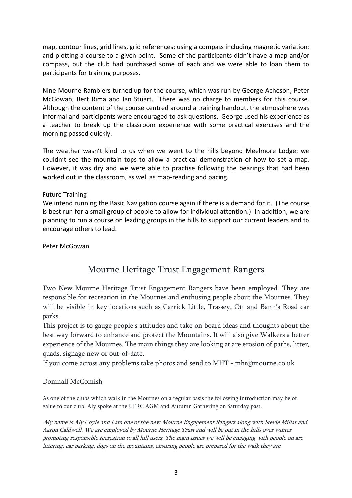map, contour lines, grid lines, grid references; using a compass including magnetic variation; and plotting a course to a given point. Some of the participants didn't have a map and/or compass, but the club had purchased some of each and we were able to loan them to participants for training purposes.

Nine Mourne Ramblers turned up for the course, which was run by George Acheson, Peter McGowan, Bert Rima and Ian Stuart. There was no charge to members for this course. Although the content of the course centred around a training handout, the atmosphere was informal and participants were encouraged to ask questions. George used his experience as a teacher to break up the classroom experience with some practical exercises and the morning passed quickly.

The weather wasn't kind to us when we went to the hills beyond Meelmore Lodge: we couldn't see the mountain tops to allow a practical demonstration of how to set a map. However, it was dry and we were able to practise following the bearings that had been worked out in the classroom, as well as map-reading and pacing.

#### Future Training

We intend running the Basic Navigation course again if there is a demand for it. (The course is best run for a small group of people to allow for individual attention.) In addition, we are planning to run a course on leading groups in the hills to support our current leaders and to encourage others to lead.

Peter McGowan

## Mourne Heritage Trust Engagement Rangers

Two New Mourne Heritage Trust Engagement Rangers have been employed. They are responsible for recreation in the Mournes and enthusing people about the Mournes. They will be visible in key locations such as Carrick Little, Trassey, Ott and Bann's Road car parks.

This project is to gauge people's attitudes and take on board ideas and thoughts about the best way forward to enhance and protect the Mountains. It will also give Walkers a better experience of the Mournes. The main things they are looking at are erosion of paths, litter, quads, signage new or out-of-date.

If you come across any problems take photos and send to MHT - mht@mourne.co.uk

#### Domnall McComish

As one of the clubs which walk in the Mournes on a regular basis the following introduction may be of value to our club. Aly spoke at the UFRC AGM and Autumn Gathering on Saturday past.

My name is Aly Coyle and I am one of the new Mourne Engagement Rangers along with Stevie Millar and Aaron Caldwell. We are employed by Mourne Heritage Trust and will be out in the hills over winter promoting responsible recreation to all hill users. The main issues we will be engaging with people on are littering, car parking, dogs on the mountains, ensuring people are prepared for the walk they are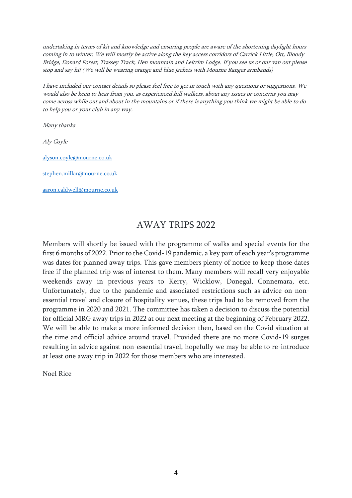undertaking in terms of kit and knowledge and ensuring people are aware of the shortening daylight hours coming in to winter. We will mostly be active along the key access corridors of Carrick Little, Ott, Bloody Bridge, Donard Forest, Trassey Track, Hen mountain and Leitrim Lodge. If you see us or our van out please stop and say hi! (We will be wearing orange and blue jackets with Mourne Ranger armbands)

I have included our contact details so please feel free to get in touch with any questions or suggestions. We would also be keen to hear from you, as experienced hill walkers, about any issues or concerns you may come across while out and about in the mountains or if there is anything you think we might be able to do to help you or your club in any way.

Many thanks

Aly Coyle

[alyson.coyle@mourne.co.uk](mailto:alyson.coyle@mourne.co.uk)

[stephen.millar@mourne.co.uk](mailto:stephen.millar@mourne.co.uk)

[aaron.caldwell@mourne.co.uk](mailto:aaron.caldwell@mourne.co.uk)

### AWAY TRIPS 2022

Members will shortly be issued with the programme of walks and special events for the first 6 months of 2022. Prior to the Covid-19 pandemic, a key part of each year's programme was dates for planned away trips. This gave members plenty of notice to keep those dates free if the planned trip was of interest to them. Many members will recall very enjoyable weekends away in previous years to Kerry, Wicklow, Donegal, Connemara, etc. Unfortunately, due to the pandemic and associated restrictions such as advice on nonessential travel and closure of hospitality venues, these trips had to be removed from the programme in 2020 and 2021. The committee has taken a decision to discuss the potential for official MRG away trips in 2022 at our next meeting at the beginning of February 2022. We will be able to make a more informed decision then, based on the Covid situation at the time and official advice around travel. Provided there are no more Covid-19 surges resulting in advice against non-essential travel, hopefully we may be able to re-introduce at least one away trip in 2022 for those members who are interested.

Noel Rice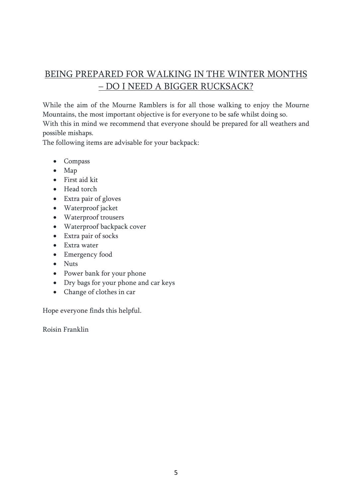# BEING PREPARED FOR WALKING IN THE WINTER MONTHS – DO I NEED A BIGGER RUCKSACK?

While the aim of the Mourne Ramblers is for all those walking to enjoy the Mourne Mountains, the most important objective is for everyone to be safe whilst doing so.

With this in mind we recommend that everyone should be prepared for all weathers and possible mishaps.

The following items are advisable for your backpack:

- Compass
- Map
- First aid kit
- Head torch
- Extra pair of gloves
- Waterproof jacket
- Waterproof trousers
- Waterproof backpack cover
- Extra pair of socks
- Extra water
- Emergency food
- Nuts
- Power bank for your phone
- Dry bags for your phone and car keys
- Change of clothes in car

Hope everyone finds this helpful.

Roisin Franklin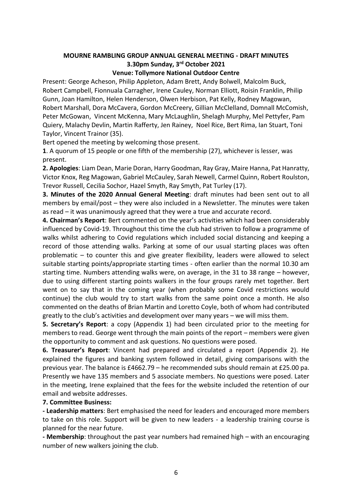#### **MOURNE RAMBLING GROUP ANNUAL GENERAL MEETING - DRAFT MINUTES 3.30pm Sunday, 3rd October 2021**

#### **Venue: Tollymore National Outdoor Centre**

Present: George Acheson, Philip Appleton, Adam Brett, Andy Bolwell, Malcolm Buck, Robert Campbell, Fionnuala Carragher, Irene Cauley, Norman Elliott, Roisin Franklin, Philip Gunn, Joan Hamilton, Helen Henderson, Olwen Herbison, Pat Kelly, Rodney Magowan, Robert Marshall, Dora McCavera, Gordon McCreery, Gillian McClelland, Domnall McComish, Peter McGowan, Vincent McKenna, Mary McLaughlin, Shelagh Murphy, Mel Pettyfer, Pam Quiery, Malachy Devlin, Martin Rafferty, Jen Rainey, Noel Rice, Bert Rima, Ian Stuart, Toni Taylor, Vincent Trainor (35).

Bert opened the meeting by welcoming those present.

**1**. A quorum of 15 people or one fifth of the membership (27), whichever is lesser, was present.

**2. Apologies**: Liam Dean, Marie Doran, Harry Goodman, Ray Gray, Maire Hanna, Pat Hanratty, Victor Knox, Reg Magowan, Gabriel McCauley, Sarah Newell, Carmel Quinn, Robert Roulston, Trevor Russell, Cecilia Sochor, Hazel Smyth, Ray Smyth, Pat Turley (17).

**3. Minutes of the 2020 Annual General Meeting**: draft minutes had been sent out to all members by email/post – they were also included in a Newsletter. The minutes were taken as read – it was unanimously agreed that they were a true and accurate record.

**4. Chairman's Report**: Bert commented on the year's activities which had been considerably influenced by Covid-19. Throughout this time the club had striven to follow a programme of walks whilst adhering to Covid regulations which included social distancing and keeping a record of those attending walks. Parking at some of our usual starting places was often problematic – to counter this and give greater flexibility, leaders were allowed to select suitable starting points/appropriate starting times - often earlier than the normal 10.30 am starting time. Numbers attending walks were, on average, in the 31 to 38 range – however, due to using different starting points walkers in the four groups rarely met together. Bert went on to say that in the coming year (when probably some Covid restrictions would continue) the club would try to start walks from the same point once a month. He also commented on the deaths of Brian Martin and Loretto Coyle, both of whom had contributed greatly to the club's activities and development over many years – we will miss them.

**5. Secretary's Report**: a copy (Appendix 1) had been circulated prior to the meeting for members to read. George went through the main points of the report – members were given the opportunity to comment and ask questions. No questions were posed.

**6. Treasurer's Report**: Vincent had prepared and circulated a report (Appendix 2). He explained the figures and banking system followed in detail, giving comparisons with the previous year. The balance is £4662.79 – he recommended subs should remain at £25.00 pa. Presently we have 135 members and 5 associate members. No questions were posed. Later in the meeting, Irene explained that the fees for the website included the retention of our email and website addresses.

#### **7. Committee Business:**

**- Leadership matters**: Bert emphasised the need for leaders and encouraged more members to take on this role. Support will be given to new leaders - a leadership training course is planned for the near future.

**- Membership**: throughout the past year numbers had remained high – with an encouraging number of new walkers joining the club.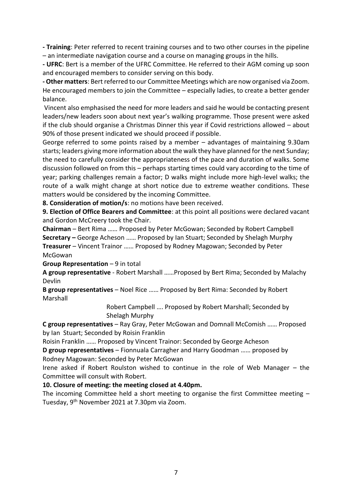**- Training**: Peter referred to recent training courses and to two other courses in the pipeline – an intermediate navigation course and a course on managing groups in the hills.

**- UFRC**: Bert is a member of the UFRC Committee. He referred to their AGM coming up soon and encouraged members to consider serving on this body.

**- Other matters**: Bert referred to our Committee Meetings which are now organised via Zoom. He encouraged members to join the Committee – especially ladies, to create a better gender balance.

Vincent also emphasised the need for more leaders and said he would be contacting present leaders/new leaders soon about next year's walking programme. Those present were asked if the club should organise a Christmas Dinner this year if Covid restrictions allowed – about 90% of those present indicated we should proceed if possible.

George referred to some points raised by a member – advantages of maintaining 9.30am starts; leaders giving more information about the walk they have planned for the next Sunday; the need to carefully consider the appropriateness of the pace and duration of walks. Some discussion followed on from this – perhaps starting times could vary according to the time of year; parking challenges remain a factor; D walks might include more high-level walks; the route of a walk might change at short notice due to extreme weather conditions. These matters would be considered by the incoming Committee.

**8. Consideration of motion/s**: no motions have been received.

**9. Election of Office Bearers and Committee**: at this point all positions were declared vacant and Gordon McCreery took the Chair.

**Chairman** – Bert Rima …… Proposed by Peter McGowan; Seconded by Robert Campbell **Secretary –** George Acheson …… Proposed by Ian Stuart; Seconded by Shelagh Murphy **Treasurer** – Vincent Trainor …… Proposed by Rodney Magowan; Seconded by Peter

McGowan

**Group Representation** – 9 in total

**A group representative** - Robert Marshall ……Proposed by Bert Rima; Seconded by Malachy Devlin

**B group representatives** – Noel Rice …… Proposed by Bert Rima: Seconded by Robert Marshall

> Robert Campbell …. Proposed by Robert Marshall; Seconded by Shelagh Murphy

**C group representatives** – Ray Gray, Peter McGowan and Domnall McComish …… Proposed by Ian Stuart; Seconded by Roisin Franklin

Roisin Franklin …… Proposed by Vincent Trainor: Seconded by George Acheson

**D group representatives** – Fionnuala Carragher and Harry Goodman …… proposed by Rodney Magowan: Seconded by Peter McGowan

Irene asked if Robert Roulston wished to continue in the role of Web Manager – the Committee will consult with Robert.

#### **10. Closure of meeting: the meeting closed at 4.40pm.**

The incoming Committee held a short meeting to organise the first Committee meeting – Tuesday, 9th November 2021 at 7.30pm via Zoom.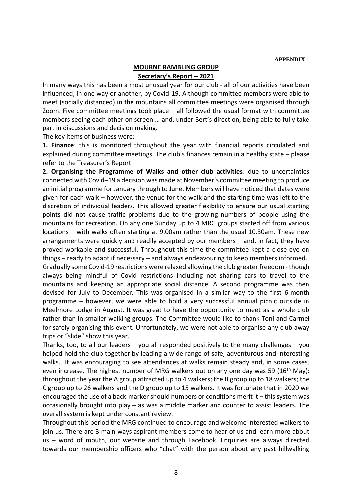#### **MOURNE RAMBLING GROUP Secretary's Report – 2021**

In many ways this has been a most unusual year for our club - all of our activities have been influenced, in one way or another, by Covid-19. Although committee members were able to meet (socially distanced) in the mountains all committee meetings were organised through Zoom. Five committee meetings took place – all followed the usual format with committee members seeing each other on screen … and, under Bert's direction, being able to fully take part in discussions and decision making.

The key items of business were:

**1. Finance**: this is monitored throughout the year with financial reports circulated and explained during committee meetings. The club's finances remain in a healthy state – please refer to the Treasurer's Report.

**2. Organising the Programme of Walks and other club activities**: due to uncertainties connected with Covid–19 a decision was made at November's committee meeting to produce an initial programme for January through to June. Members will have noticed that dates were given for each walk – however, the venue for the walk and the starting time was left to the discretion of individual leaders. This allowed greater flexibility to ensure our usual starting points did not cause traffic problems due to the growing numbers of people using the mountains for recreation. On any one Sunday up to 4 MRG groups started off from various locations – with walks often starting at 9.00am rather than the usual 10.30am. These new arrangements were quickly and readily accepted by our members – and, in fact, they have proved workable and successful. Throughout this time the committee kept a close eye on things – ready to adapt if necessary – and always endeavouring to keep members informed. Gradually some Covid-19 restrictions were relaxed allowing the club greater freedom - though

always being mindful of Covid restrictions including not sharing cars to travel to the mountains and keeping an appropriate social distance. A second programme was then devised for July to December. This was organised in a similar way to the first 6-month programme – however, we were able to hold a very successful annual picnic outside in Meelmore Lodge in August. It was great to have the opportunity to meet as a whole club rather than in smaller walking groups. The Committee would like to thank Toni and Carmel for safely organising this event. Unfortunately, we were not able to organise any club away trips or "slide" show this year.

Thanks, too, to all our leaders  $-$  you all responded positively to the many challenges  $-$  you helped hold the club together by leading a wide range of safe, adventurous and interesting walks. It was encouraging to see attendances at walks remain steady and, in some cases, even increase. The highest number of MRG walkers out on any one day was 59 (16<sup>th</sup> May); throughout the year the A group attracted up to 4 walkers; the B group up to 18 walkers; the C group up to 26 walkers and the D group up to 15 walkers. It was fortunate that in 2020 we encouraged the use of a back-marker should numbers or conditions merit it – this system was occasionally brought into play – as was a middle marker and counter to assist leaders. The overall system is kept under constant review.

Throughout this period the MRG continued to encourage and welcome interested walkers to join us. There are 3 main ways aspirant members come to hear of us and learn more about us – word of mouth, our website and through Facebook. Enquiries are always directed towards our membership officers who "chat" with the person about any past hillwalking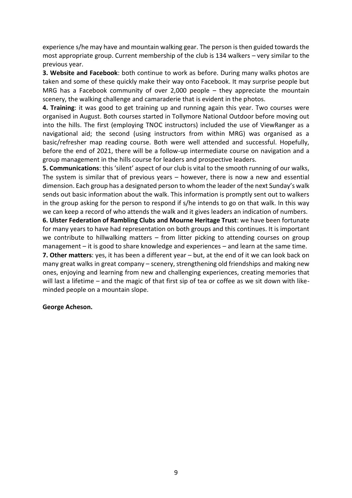experience s/he may have and mountain walking gear. The person is then guided towards the most appropriate group. Current membership of the club is 134 walkers – very similar to the previous year.

**3. Website and Facebook**: both continue to work as before. During many walks photos are taken and some of these quickly make their way onto Facebook. It may surprise people but MRG has a Facebook community of over 2,000 people – they appreciate the mountain scenery, the walking challenge and camaraderie that is evident in the photos.

**4. Training**: it was good to get training up and running again this year. Two courses were organised in August. Both courses started in Tollymore National Outdoor before moving out into the hills. The first (employing TNOC instructors) included the use of ViewRanger as a navigational aid; the second (using instructors from within MRG) was organised as a basic/refresher map reading course. Both were well attended and successful. Hopefully, before the end of 2021, there will be a follow-up intermediate course on navigation and a group management in the hills course for leaders and prospective leaders.

**5. Communications**: this 'silent' aspect of our club is vital to the smooth running of our walks, The system is similar that of previous years – however, there is now a new and essential dimension. Each group has a designated person to whom the leader of the next Sunday's walk sends out basic information about the walk. This information is promptly sent out to walkers in the group asking for the person to respond if s/he intends to go on that walk. In this way we can keep a record of who attends the walk and it gives leaders an indication of numbers.

**6. Ulster Federation of Rambling Clubs and Mourne Heritage Trust**: we have been fortunate for many years to have had representation on both groups and this continues. It is important we contribute to hillwalking matters – from litter picking to attending courses on group management – it is good to share knowledge and experiences – and learn at the same time.

**7. Other matters**: yes, it has been a different year – but, at the end of it we can look back on many great walks in great company – scenery, strengthening old friendships and making new ones, enjoying and learning from new and challenging experiences, creating memories that will last a lifetime – and the magic of that first sip of tea or coffee as we sit down with likeminded people on a mountain slope.

#### **George Acheson.**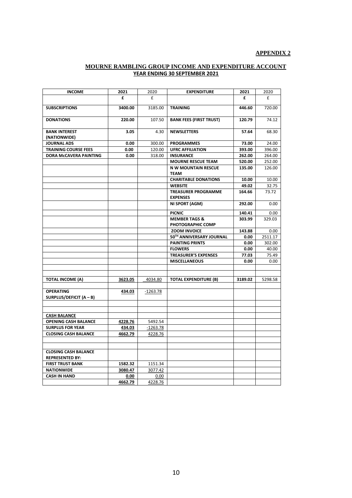#### **APPENDIX 2**

#### **MOURNE RAMBLING GROUP INCOME AND EXPENDITURE ACCOUNT YEAR ENDING 30 SEPTEMBER 2021**

| <b>INCOME</b>                                         | 2021         | 2020             | <b>EXPENDITURE</b>                            | 2021             | 2020             |
|-------------------------------------------------------|--------------|------------------|-----------------------------------------------|------------------|------------------|
|                                                       | £            | £                |                                               | £                | £                |
| <b>SUBSCRIPTIONS</b>                                  | 3400.00      | 3185.00          | <b>TRAINING</b>                               | 446.60           | 720.00           |
| <b>DONATIONS</b>                                      | 220.00       | 107.50           | <b>BANK FEES (FIRST TRUST)</b>                | 120.79           | 74.12            |
| <b>BANK INTEREST</b>                                  | 3.05         | 4.30             | <b>NEWSLETTERS</b>                            | 57.64            | 68.30            |
| (NATIONWIDE)                                          |              |                  |                                               |                  | 24.00            |
| <b>JOURNAL ADS</b>                                    | 0.00         | 300.00           | <b>PROGRAMMES</b>                             | 73.00            |                  |
| <b>TRAINING COURSE FEES</b><br>DORA McCAVERA PAINTING | 0.00<br>0.00 | 120.00<br>318.00 | <b>UFRC AFFILIATION</b><br><b>INSURANCE</b>   | 393.00<br>262.00 | 396.00<br>264.00 |
|                                                       |              |                  | <b>MOURNE RESCUE TEAM</b>                     | 520.00           | 252.00           |
|                                                       |              |                  | <b>N W MOUNTAIN RESCUE</b>                    | 135.00           | 126.00           |
|                                                       |              |                  | <b>TEAM</b>                                   |                  |                  |
|                                                       |              |                  | <b>CHARITABLE DONATIONS</b>                   | 10.00            | 10.00            |
|                                                       |              |                  | <b>WEBSITE</b>                                | 49.02            | 32.75            |
|                                                       |              |                  | <b>TREASURER PROGRAMME</b><br><b>EXPENSES</b> | 164.66           | 73.72            |
|                                                       |              |                  | NI SPORT (AGM)                                | 292.00           | 0.00             |
|                                                       |              |                  | <b>PICNIC</b>                                 | 140.41           | 0.00             |
|                                                       |              |                  | <b>MEMBER TAGS &amp;</b><br>PHOTOGRAPHIC COMP | 303.99           | 329.03           |
|                                                       |              |                  | <b>ZOOM INVOICE</b>                           | 143.88           | 0.00             |
|                                                       |              |                  | 50TH ANNIVERSARY JOURNAL                      | 0.00             | 2511.17          |
|                                                       |              |                  | <b>PAINTING PRINTS</b>                        | 0.00             | 302.00           |
|                                                       |              |                  | <b>FLOWERS</b>                                | 0.00             | 40.00            |
|                                                       |              |                  | <b>TREASURER'S EXPENSES</b>                   | 77.03            | 75.49            |
|                                                       |              |                  | <b>MISCELLANEOUS</b>                          | 0.00             | 0.00             |
|                                                       |              |                  |                                               |                  |                  |
|                                                       |              |                  |                                               |                  |                  |
| <b>TOTAL INCOME (A)</b>                               | 3623.05      | 4034.80          | <b>TOTAL EXPENDITURE (B)</b>                  | 3189.02          | 5298.58          |
| <b>OPERATING</b><br>SURPLUS/DEFICIT (A - B)           | 434.03       | $-1263.78$       |                                               |                  |                  |
|                                                       |              |                  |                                               |                  |                  |
| <b>CASH BALANCE</b>                                   |              |                  |                                               |                  |                  |
| <b>OPENING CASH BALANCE</b>                           | 4228.76      | 5492.54          |                                               |                  |                  |
| <b>SURPLUS FOR YEAR</b>                               | 434.03       | $-1263.78$       |                                               |                  |                  |
| <b>CLOSING CASH BALANCE</b>                           | 4662.79      | 4228.76          |                                               |                  |                  |
|                                                       |              |                  |                                               |                  |                  |
|                                                       |              |                  |                                               |                  |                  |
| <b>CLOSING CASH BALANCE</b><br><b>REPRESENTED BY:</b> |              |                  |                                               |                  |                  |
| <b>FIRST TRUST BANK</b>                               | 1582.32      | 1151.34          |                                               |                  |                  |
| <b>NATIONWIDE</b>                                     | 3080.47      | 3077.42          |                                               |                  |                  |
| <b>CASH IN HAND</b>                                   | 0.00         | 0.00             |                                               |                  |                  |
|                                                       | 4662.79      | 4228.76          |                                               |                  |                  |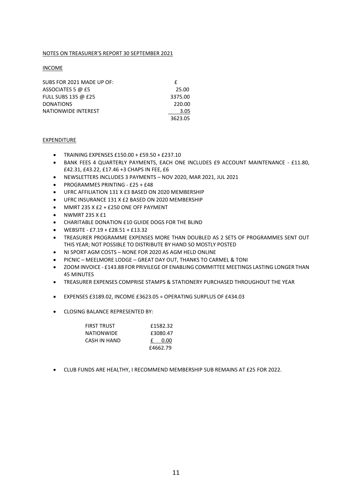#### NOTES ON TREASURER'S REPORT 30 SEPTEMBER 2021

INCOME

| SUBS FOR 2021 MADE UP OF: |         |  |
|---------------------------|---------|--|
| ASSOCIATES 5 @ £5         | 25.00   |  |
| FULL SUBS 135 @ £25       | 3375.00 |  |
| <b>DONATIONS</b>          | 220.00  |  |
| NATIONWIDE INTEREST       | 3.05    |  |
|                           | 3623.05 |  |

#### EXPENDITURE

- TRAINING EXPENSES £150.00 + £59.50 + £237.10
- BANK FEES 4 QUARTERLY PAYMENTS, EACH ONE INCLUDES £9 ACCOUNT MAINTENANCE £11.80, £42.31, £43.22, £17.46 +3 CHAPS IN FEE, £6
- NEWSLETTERS INCLUDES 3 PAYMENTS NOV 2020, MAR 2021, JUL 2021
- PROGRAMMES PRINTING £25 + £48
- UFRC AFFILIATION 131 X £3 BASED ON 2020 MEMBERSHIP
- UFRC INSURANCE 131 X £2 BASED ON 2020 MEMBERSHIP
- MMRT 235 X £2 + £250 ONE OFF PAYMENT
- $\bullet$  NWMRT 235 X £1
- CHARITABLE DONATION £10 GUIDE DOGS FOR THE BLIND
- WEBSITE £7.19 + £28.51 + £13.32
- TREASURER PROGRAMME EXPENSES MORE THAN DOUBLED AS 2 SETS OF PROGRAMMES SENT OUT THIS YEAR; NOT POSSIBLE TO DISTRIBUTE BY HAND SO MOSTLY POSTED
- NI SPORT AGM COSTS NONE FOR 2020 AS AGM HELD ONLINE
- PICNIC MEELMORE LODGE GREAT DAY OUT, THANKS TO CARMEL & TONI
- ZOOM INVOICE £143.88 FOR PRIVILEGE OF ENABLING COMMITTEE MEETINGS LASTING LONGER THAN 45 MINUTES
- TREASURER EXPENSES COMPRISE STAMPS & STATIONERY PURCHASED THROUGHOUT THE YEAR
- EXPENSES £3189.02, INCOME £3623.05 = OPERATING SURPLUS OF £434.03
- CLOSING BALANCE REPRESENTED BY:

| <b>FIRST TRUST</b> | £1582.32  |
|--------------------|-----------|
| <b>NATIONWIDE</b>  | £3080.47  |
| CASH IN HAND       | 0.00<br>£ |
|                    | £4662.79  |

• CLUB FUNDS ARE HEALTHY, I RECOMMEND MEMBERSHIP SUB REMAINS AT £25 FOR 2022.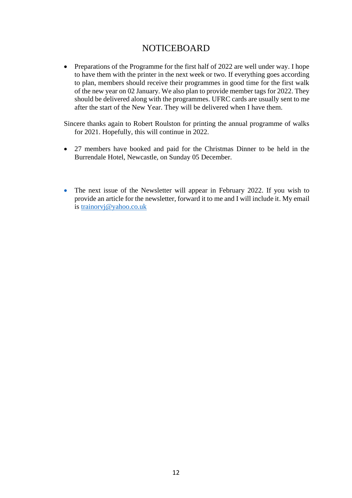### NOTICEBOARD

• Preparations of the Programme for the first half of 2022 are well under way. I hope to have them with the printer in the next week or two. If everything goes according to plan, members should receive their programmes in good time for the first walk of the new year on 02 January. We also plan to provide member tags for 2022. They should be delivered along with the programmes. UFRC cards are usually sent to me after the start of the New Year. They will be delivered when I have them.

Sincere thanks again to Robert Roulston for printing the annual programme of walks for 2021. Hopefully, this will continue in 2022.

- 27 members have booked and paid for the Christmas Dinner to be held in the Burrendale Hotel, Newcastle, on Sunday 05 December.
- The next issue of the Newsletter will appear in February 2022. If you wish to provide an article for the newsletter, forward it to me and I will include it. My email is [trainorvj@yahoo.co.uk](mailto:trainorvj@yahoo.co.uk)